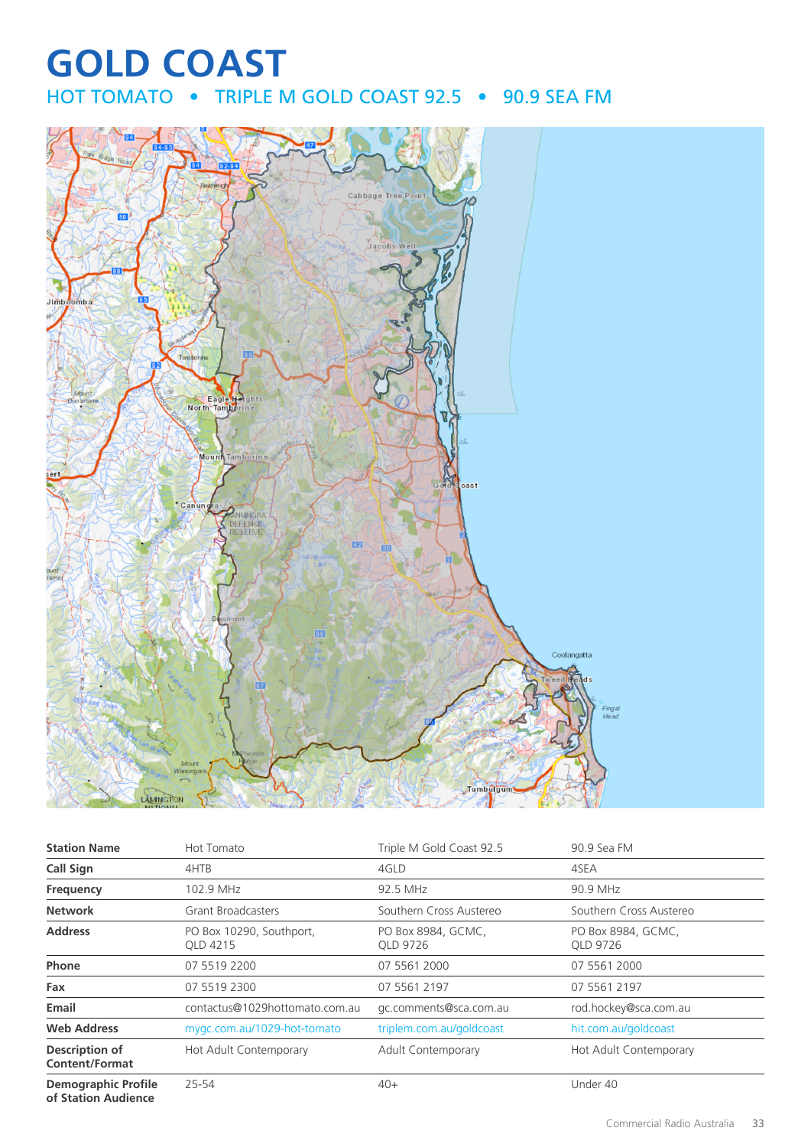## **GOLD COAST** HOT TOMATO • TRIPLE M GOLD COAST 92.5 • 90.9 SEA FM



| <b>Station Name</b>                               | Hot Tomato                           | Triple M Gold Coast 92.5       | 90.9 Sea FM                    |
|---------------------------------------------------|--------------------------------------|--------------------------------|--------------------------------|
| <b>Call Sign</b>                                  | 4HTB                                 | 4GLD                           | 4SEA                           |
| Frequency                                         | 102.9 MHz                            | 92.5 MHz                       | 90.9 MHz                       |
| <b>Network</b>                                    | Grant Broadcasters                   | Southern Cross Austereo        | Southern Cross Austereo        |
| <b>Address</b>                                    | PO Box 10290, Southport,<br>OLD 4215 | PO Box 8984, GCMC,<br>OLD 9726 | PO Box 8984, GCMC,<br>OLD 9726 |
| Phone                                             | 07 5519 2200                         | 07 5561 2000                   | 07 5561 2000                   |
| Fax                                               | 07 5519 2300                         | 07 5561 2197                   | 07 5561 2197                   |
| Email                                             | contactus@1029hottomato.com.au       | gc.comments@sca.com.au         | rod.hockey@sca.com.au          |
| <b>Web Address</b>                                | mygc.com.au/1029-hot-tomato          | triplem.com.au/goldcoast       | hit.com.au/goldcoast           |
| Description of<br><b>Content/Format</b>           | Hot Adult Contemporary               | <b>Adult Contemporary</b>      | Hot Adult Contemporary         |
| <b>Demographic Profile</b><br>of Station Audience | $25 - 54$                            | $40+$                          | Under 40                       |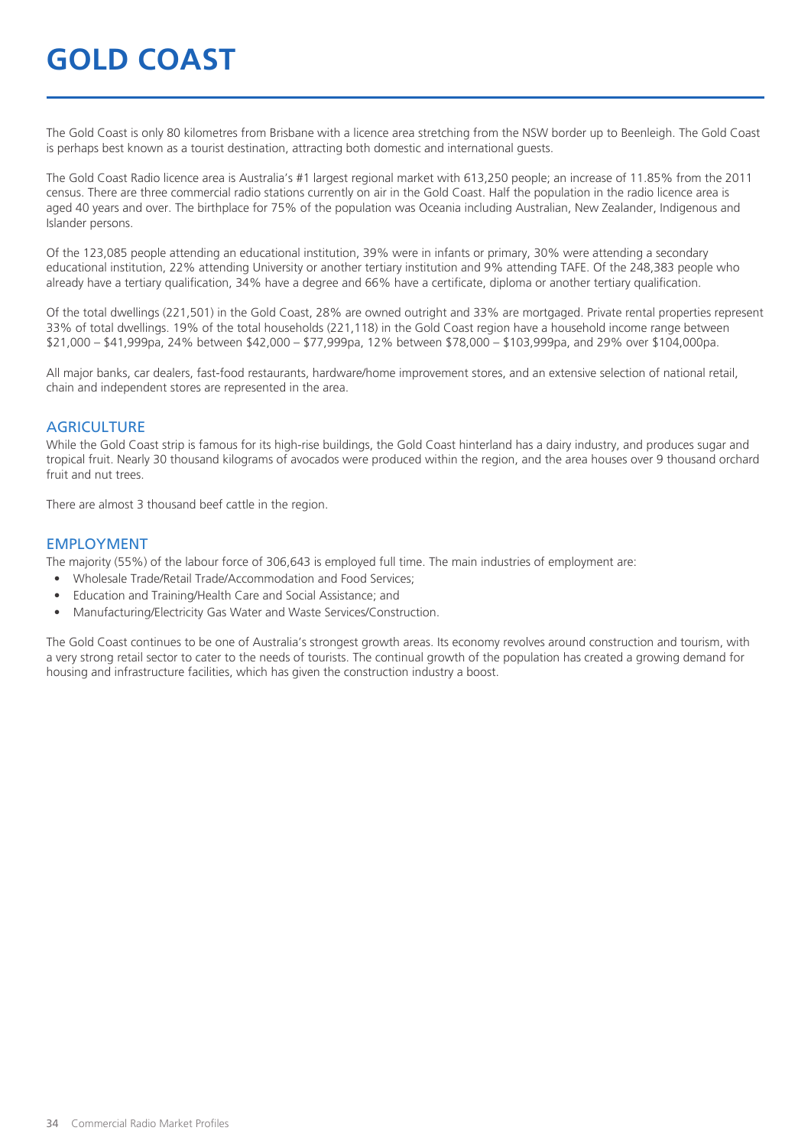## **GOLD COAST**

The Gold Coast is only 80 kilometres from Brisbane with a licence area stretching from the NSW border up to Beenleigh. The Gold Coast is perhaps best known as a tourist destination, attracting both domestic and international guests.

The Gold Coast Radio licence area is Australia's #1 largest regional market with 613,250 people; an increase of 11.85% from the 2011 census. There are three commercial radio stations currently on air in the Gold Coast. Half the population in the radio licence area is aged 40 years and over. The birthplace for 75% of the population was Oceania including Australian, New Zealander, Indigenous and Islander persons.

Of the 123,085 people attending an educational institution, 39% were in infants or primary, 30% were attending a secondary educational institution, 22% attending University or another tertiary institution and 9% attending TAFE. Of the 248,383 people who already have a tertiary qualification, 34% have a degree and 66% have a certificate, diploma or another tertiary qualification.

Of the total dwellings (221,501) in the Gold Coast, 28% are owned outright and 33% are mortgaged. Private rental properties represent 33% of total dwellings. 19% of the total households (221,118) in the Gold Coast region have a household income range between \$21,000 – \$41,999pa, 24% between \$42,000 – \$77,999pa, 12% between \$78,000 – \$103,999pa, and 29% over \$104,000pa.

All major banks, car dealers, fast-food restaurants, hardware/home improvement stores, and an extensive selection of national retail, chain and independent stores are represented in the area.

#### **AGRICULTURE**

While the Gold Coast strip is famous for its high-rise buildings, the Gold Coast hinterland has a dairy industry, and produces sugar and tropical fruit. Nearly 30 thousand kilograms of avocados were produced within the region, and the area houses over 9 thousand orchard fruit and nut trees.

There are almost 3 thousand beef cattle in the region.

#### EMPLOYMENT

The majority (55%) of the labour force of 306,643 is employed full time. The main industries of employment are:

- Wholesale Trade/Retail Trade/Accommodation and Food Services;
- Education and Training/Health Care and Social Assistance; and
- Manufacturing/Electricity Gas Water and Waste Services/Construction.

The Gold Coast continues to be one of Australia's strongest growth areas. Its economy revolves around construction and tourism, with a very strong retail sector to cater to the needs of tourists. The continual growth of the population has created a growing demand for housing and infrastructure facilities, which has given the construction industry a boost.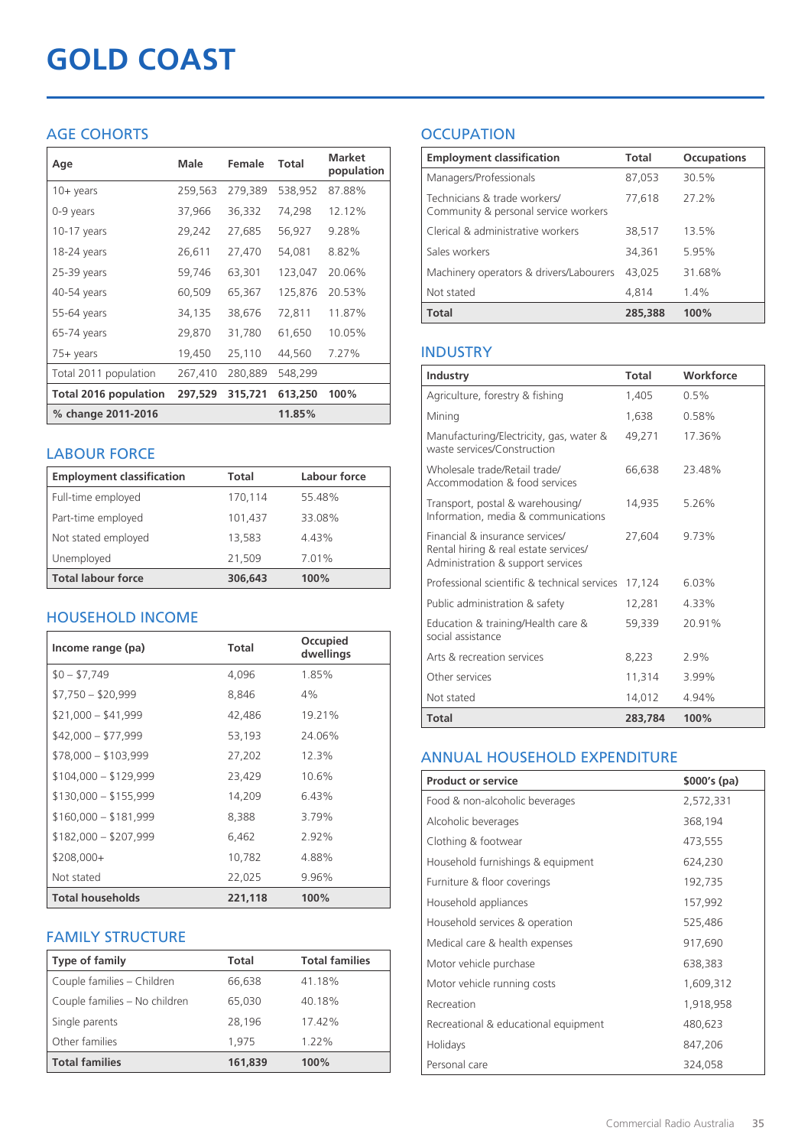# **GOLD COAST**

## AGE COHORTS

| Age                          | Male    | Female  | <b>Total</b> | <b>Market</b><br>population |
|------------------------------|---------|---------|--------------|-----------------------------|
| $10 + \gamma$ ears           | 259,563 | 279,389 | 538,952      | 87.88%                      |
| 0-9 years                    | 37,966  | 36,332  | 74,298       | 12.12%                      |
| $10-17$ years                | 29,242  | 27,685  | 56,927       | 9.28%                       |
| 18-24 years                  | 26,611  | 27,470  | 54,081       | 8.82%                       |
| $25-39$ years                | 59,746  | 63,301  | 123,047      | 20.06%                      |
| 40-54 years                  | 60,509  | 65,367  | 125,876      | 20.53%                      |
| 55-64 years                  | 34,135  | 38,676  | 72,811       | 11.87%                      |
| 65-74 years                  | 29,870  | 31,780  | 61,650       | 10.05%                      |
| 75+ years                    | 19,450  | 25,110  | 44,560       | 7.27%                       |
| Total 2011 population        | 267,410 | 280,889 | 548,299      |                             |
| <b>Total 2016 population</b> | 297,529 | 315,721 | 613,250      | 100%                        |
| % change 2011-2016           |         |         | 11.85%       |                             |

### LABOUR FORCE

| <b>Employment classification</b> | Total   | Labour force |
|----------------------------------|---------|--------------|
| Full-time employed               | 170,114 | 55.48%       |
| Part-time employed               | 101,437 | 33.08%       |
| Not stated employed              | 13,583  | 4.43%        |
| Unemployed                       | 21,509  | 7.01%        |
| <b>Total labour force</b>        | 306,643 | 100%         |

## HOUSEHOLD INCOME

| Income range (pa)       | Total   | Occupied<br>dwellings |
|-------------------------|---------|-----------------------|
| $$0 - $7,749$           | 4,096   | 1.85%                 |
| $$7,750 - $20,999$      | 8,846   | 4%                    |
| $$21,000 - $41,999$     | 42,486  | 19.21%                |
| $$42,000 - $77,999$     | 53,193  | 24.06%                |
| $$78,000 - $103,999$    | 27,202  | 12.3%                 |
| $$104,000 - $129,999$   | 23,429  | 10.6%                 |
| $$130,000 - $155,999$   | 14,209  | 6.43%                 |
| $$160,000 - $181,999$   | 8,388   | 3.79%                 |
| $$182,000 - $207,999$   | 6,462   | $2.92\%$              |
| $$208,000+$             | 10,782  | 4.88%                 |
| Not stated              | 22,025  | 9.96%                 |
| <b>Total households</b> | 221,118 | 100%                  |

### FAMILY STRUCTURE

| <b>Type of family</b>         | <b>Total</b> | <b>Total families</b> |
|-------------------------------|--------------|-----------------------|
| Couple families - Children    | 66,638       | 41.18%                |
| Couple families - No children | 65,030       | 40.18%                |
| Single parents                | 28.196       | 17.42%                |
| Other families                | 1,975        | 1.22%                 |
| <b>Total families</b>         | 161,839      | 100%                  |

## **OCCUPATION**

| <b>Employment classification</b>                                     | <b>Total</b> | <b>Occupations</b> |
|----------------------------------------------------------------------|--------------|--------------------|
| Managers/Professionals                                               | 87,053       | 30.5%              |
| Technicians & trade workers/<br>Community & personal service workers | 77.618       | 272%               |
| Clerical & administrative workers                                    | 38,517       | 13.5%              |
| Sales workers                                                        | 34,361       | 5.95%              |
| Machinery operators & drivers/Labourers                              | 43.025       | 31.68%             |
| Not stated                                                           | 4.814        | $1.4\%$            |
| <b>Total</b>                                                         | 285,388      | 100%               |

## INDUSTRY

| Industry                                                                                                      | Total   | Workforce |
|---------------------------------------------------------------------------------------------------------------|---------|-----------|
| Agriculture, forestry & fishing                                                                               | 1,405   | $0.5\%$   |
| Mining                                                                                                        | 1.638   | 0.58%     |
| Manufacturing/Electricity, gas, water &<br>waste services/Construction                                        | 49,271  | 17.36%    |
| Wholesale trade/Retail trade/<br>Accommodation & food services                                                | 66,638  | 23.48%    |
| Transport, postal & warehousing/<br>Information, media & communications                                       | 14,935  | 5.26%     |
| Financial & insurance services/<br>Rental hiring & real estate services/<br>Administration & support services | 27,604  | 9.73%     |
| Professional scientific & technical services                                                                  | 17,124  | 6.03%     |
| Public administration & safety                                                                                | 12,281  | 4.33%     |
| Education & training/Health care &<br>social assistance                                                       | 59,339  | 20.91%    |
| Arts & recreation services                                                                                    | 8,223   | 2.9%      |
| Other services                                                                                                | 11,314  | 3.99%     |
| Not stated                                                                                                    | 14,012  | 4.94%     |
| <b>Total</b>                                                                                                  | 283.784 | 100%      |

### ANNUAL HOUSEHOLD EXPENDITURE

| <b>Product or service</b>            | $$000's$ (pa) |
|--------------------------------------|---------------|
| Food & non-alcoholic beverages       | 2,572,331     |
| Alcoholic beverages                  | 368,194       |
| Clothing & footwear                  | 473,555       |
| Household furnishings & equipment    | 624,230       |
| Furniture & floor coverings          | 192,735       |
| Household appliances                 | 157,992       |
| Household services & operation       | 525,486       |
| Medical care & health expenses       | 917,690       |
| Motor vehicle purchase               | 638,383       |
| Motor vehicle running costs          | 1,609,312     |
| Recreation                           | 1,918,958     |
| Recreational & educational equipment | 480,623       |
| Holidays                             | 847,206       |
| Personal care                        | 324,058       |